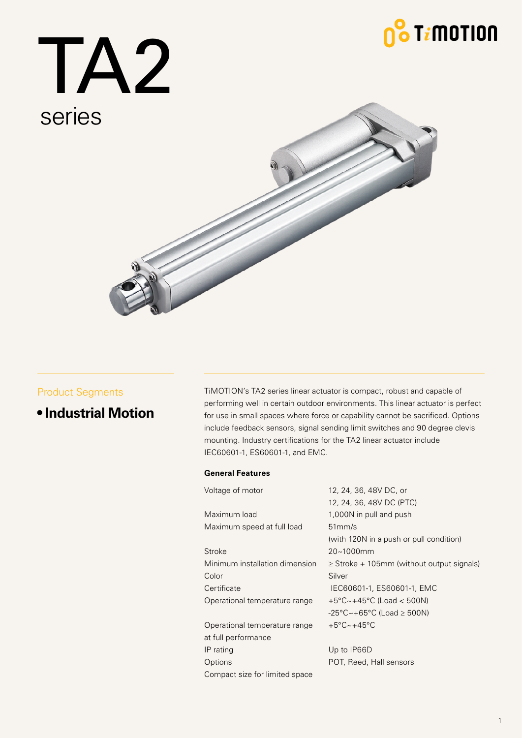# $\int_0^\infty \mathsf{T} i \mathsf{M}$ otion

TA2 series



### Product Segments

**• Industrial Motion**

TiMOTION's TA2 series linear actuator is compact, robust and capable of performing well in certain outdoor environments. This linear actuator is perfect for use in small spaces where force or capability cannot be sacrificed. Options include feedback sensors, signal sending limit switches and 90 degree clevis mounting. Industry certifications for the TA2 linear actuator include IEC60601-1, ES60601-1, and EMC.

### **General Features**

| Voltage of motor               | 12, 24, 36, 48V DC, or                                |
|--------------------------------|-------------------------------------------------------|
|                                | 12, 24, 36, 48V DC (PTC)                              |
| Maximum load                   | 1,000N in pull and push                               |
| Maximum speed at full load     | 51mm/s                                                |
|                                | (with 120N in a push or pull condition)               |
| <b>Stroke</b>                  | 20~1000mm                                             |
| Minimum installation dimension | $\geq$ Stroke + 105mm (without output signals)        |
| Color                          | Silver                                                |
| Certificate                    | IEC60601-1, ES60601-1, EMC                            |
| Operational temperature range  | $+5^{\circ}$ C ~ +45 $^{\circ}$ C (Load < 500N)       |
|                                | $-25^{\circ}$ C ~ +65 $^{\circ}$ C (Load $\geq$ 500N) |
| Operational temperature range  | $+5^{\circ}$ C $\sim$ +45 $^{\circ}$ C                |
| at full performance            |                                                       |
| IP rating                      | Up to IP66D                                           |
| Options                        | POT, Reed, Hall sensors                               |
| Compact size for limited space |                                                       |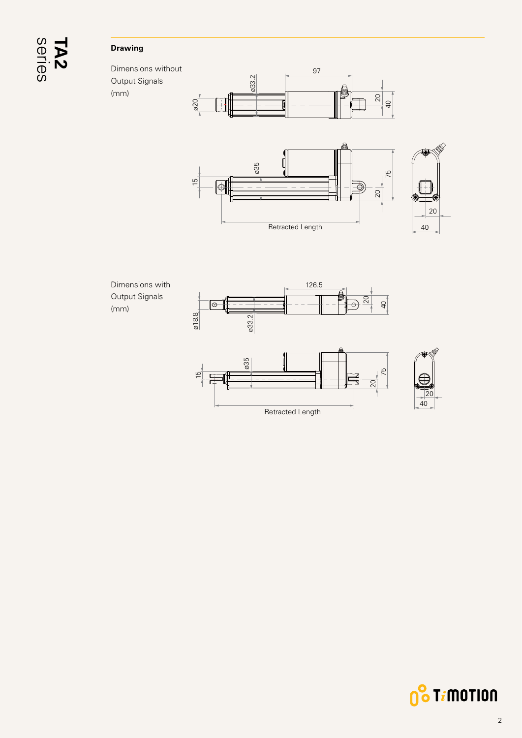# series **TA2**

### **Drawing**

(mm)

Dimensions without Output Signals (mm)













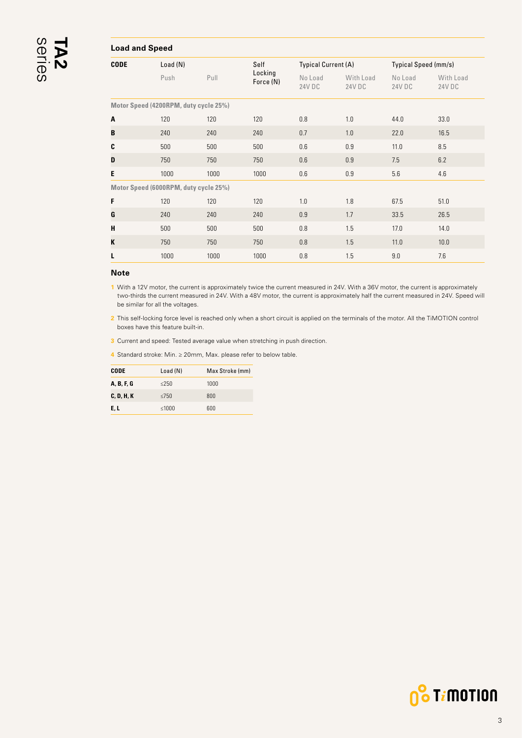#### <span id="page-2-0"></span>**Load and Speed CODE** Load (N) Self Locking Force (N) Typical Current (A) Typical Speed (mm/s) Push Pull **Experiment Pull** No Load 24V DC With Load 24V DC No Load 24V DC With Load 24V DC **Motor Speed (4200RPM, duty cycle 25%) A** 120 120 120 0.8 1.0 44.0 33.0 **B** 240 240 240 0.7 1.0 22.0 16.5 **C** 500 500 500 0.6 0.9 11.0 8.5 **D** 750 750 750 0.6 0.9 7.5 6.2 **E** 1000 1000 1000 0.6 0.9 5.6 4.6 **Motor Speed (6000RPM, duty cycle 25%) F** 120 120 120 1.0 1.8 67.5 51.0

#### **Note**

**1** With a 12V motor, the current is approximately twice the current measured in 24V. With a 36V motor, the current is approximately two-thirds the current measured in 24V. With a 48V motor, the current is approximately half the current measured in 24V. Speed will be similar for all the voltages.

**G** 240 240 240 0.9 1.7 33.5 26.5 **H** 500 500 500 0.8 1.5 17.0 14.0 **K** 750 750 750 0.8 1.5 11.0 10.0 **L** 1000 1000 1000 0.8 1.5 9.0 7.6

**2** This self-locking force level is reached only when a short circuit is applied on the terminals of the motor. All the TiMOTION control boxes have this feature built-in.

**3** Current and speed: Tested average value when stretching in push direction.

**4** Standard stroke: Min. ≥ 20mm, Max. please refer to below table.

| CODE       | Load(N)    | Max Stroke (mm) |
|------------|------------|-----------------|
| A. B. F. G | $\leq$ 250 | 1000            |
| C, D, H, K | $\leq$ 750 | 800             |
| E, L       | ≤1000      | 600             |

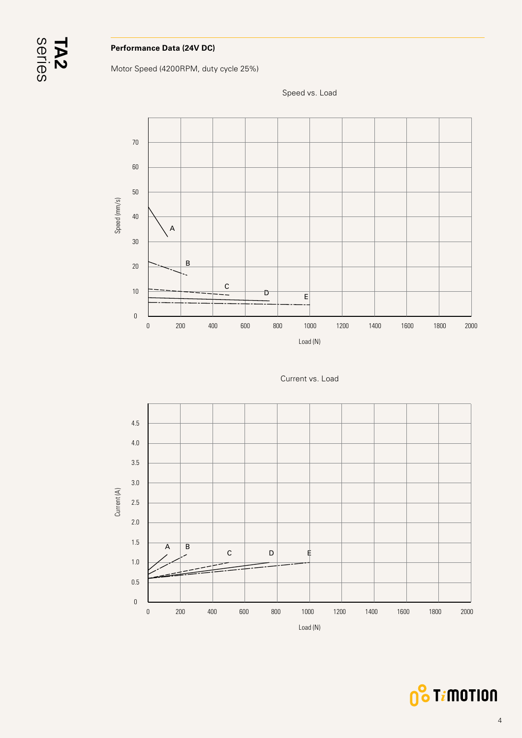

### **Performance Data (24V DC)**

Motor Speed (4200RPM, duty cycle 25%)



Speed vs. Load





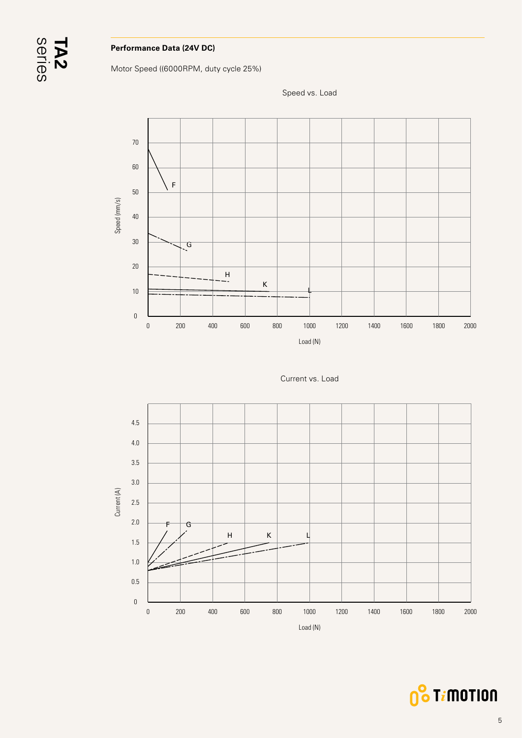

### **Performance Data (24V DC)**

Motor Speed ((6000RPM, duty cycle 25%)









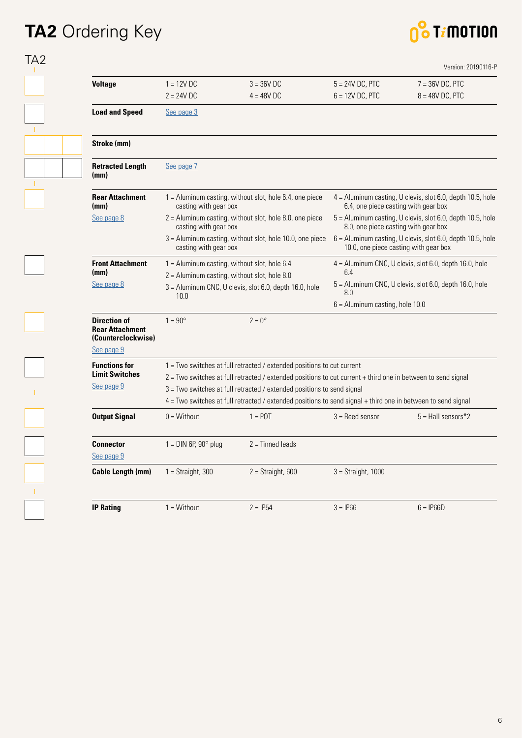### **TA2** Ordering Key

### 0<sup>8</sup> Timotion

| <b>Voltage</b>                                                      | $1 = 12V$ DC                                                                                                                                                                                                                                                                                             | $3 = 36V$ DC                                                                                     | $5 = 24V$ DC, PTC                                                                                     | $7 = 36V$ DC, PTC                                        |  |
|---------------------------------------------------------------------|----------------------------------------------------------------------------------------------------------------------------------------------------------------------------------------------------------------------------------------------------------------------------------------------------------|--------------------------------------------------------------------------------------------------|-------------------------------------------------------------------------------------------------------|----------------------------------------------------------|--|
|                                                                     | $2 = 24V$ DC                                                                                                                                                                                                                                                                                             | $4 = 48V$ DC                                                                                     | $6 = 12V$ DC, PTC                                                                                     | $8 = 48V$ DC, PTC                                        |  |
| <b>Load and Speed</b>                                               | See page 3                                                                                                                                                                                                                                                                                               |                                                                                                  |                                                                                                       |                                                          |  |
| Stroke (mm)                                                         |                                                                                                                                                                                                                                                                                                          |                                                                                                  |                                                                                                       |                                                          |  |
| <b>Retracted Length</b><br>(mm)                                     | See page 7                                                                                                                                                                                                                                                                                               |                                                                                                  |                                                                                                       |                                                          |  |
| <b>Rear Attachment</b><br>(mm)                                      | 1 = Aluminum casting, without slot, hole 6.4, one piece<br>casting with gear box                                                                                                                                                                                                                         |                                                                                                  | 4 = Aluminum casting, U clevis, slot 6.0, depth 10.5, hole<br>6.4, one piece casting with gear box    |                                                          |  |
| See page 8                                                          | $2 =$ Aluminum casting, without slot, hole 8.0, one piece<br>casting with gear box                                                                                                                                                                                                                       |                                                                                                  | 5 = Aluminum casting, U clevis, slot 6.0, depth 10.5, hole<br>8.0, one piece casting with gear box    |                                                          |  |
|                                                                     | casting with gear box                                                                                                                                                                                                                                                                                    | $3 =$ Aluminum casting, without slot, hole 10.0, one piece                                       | $6$ = Aluminum casting, U clevis, slot 6.0, depth 10.5, hole<br>10.0, one piece casting with gear box |                                                          |  |
| <b>Front Attachment</b><br>(mm)                                     |                                                                                                                                                                                                                                                                                                          | $1 =$ Aluminum casting, without slot, hole 6.4<br>$2 =$ Aluminum casting, without slot, hole 8.0 | 6.4                                                                                                   | $4 =$ Aluminum CNC, U clevis, slot 6.0, depth 16.0, hole |  |
| See page 8                                                          | 3 = Aluminum CNC, U clevis, slot 6.0, depth 16.0, hole<br>10.0                                                                                                                                                                                                                                           |                                                                                                  | $5 =$ Aluminum CNC, U clevis, slot 6.0, depth 16.0, hole<br>8.0                                       |                                                          |  |
|                                                                     |                                                                                                                                                                                                                                                                                                          |                                                                                                  | $6 =$ Aluminum casting, hole 10.0                                                                     |                                                          |  |
| <b>Direction of</b><br><b>Rear Attachment</b><br>(Counterclockwise) | $1 = 90^{\circ}$                                                                                                                                                                                                                                                                                         | $2 = 0^\circ$                                                                                    |                                                                                                       |                                                          |  |
| See page 9                                                          |                                                                                                                                                                                                                                                                                                          |                                                                                                  |                                                                                                       |                                                          |  |
| <b>Functions for</b><br><b>Limit Switches</b>                       |                                                                                                                                                                                                                                                                                                          | $1 = Two$ switches at full retracted / extended positions to cut current                         |                                                                                                       |                                                          |  |
| See page 9                                                          | $2 =$ Two switches at full retracted / extended positions to cut current + third one in between to send signal<br>3 = Two switches at full retracted / extended positions to send signal<br>4 = Two switches at full retracted / extended positions to send signal + third one in between to send signal |                                                                                                  |                                                                                                       |                                                          |  |
|                                                                     |                                                                                                                                                                                                                                                                                                          |                                                                                                  |                                                                                                       |                                                          |  |
| <b>Output Signal</b>                                                | $0 = \text{Without}$                                                                                                                                                                                                                                                                                     | $1 =$ POT                                                                                        | $3 =$ Reed sensor                                                                                     | $5 =$ Hall sensors*2                                     |  |
| <b>Connector</b><br>See page 9                                      | $1 =$ DIN 6P, 90 $^{\circ}$ plug                                                                                                                                                                                                                                                                         | 2 = Tinned leads                                                                                 |                                                                                                       |                                                          |  |
|                                                                     | $1 =$ Straight, 300                                                                                                                                                                                                                                                                                      | $2 =$ Straight, 600                                                                              | $3 =$ Straight, 1000                                                                                  |                                                          |  |
| <b>Cable Length (mm)</b>                                            |                                                                                                                                                                                                                                                                                                          |                                                                                                  |                                                                                                       |                                                          |  |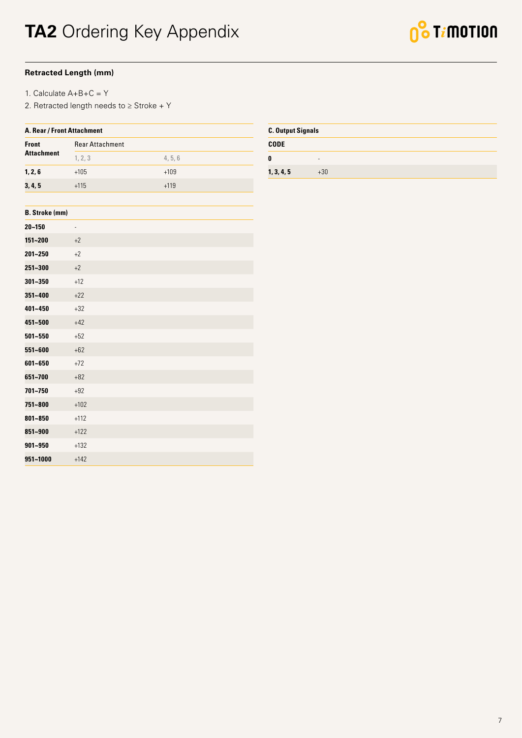### <span id="page-6-0"></span>**Retracted Length (mm)**

- 1. Calculate A+B+C = Y
- 2. Retracted length needs to ≥ Stroke + Y

| A. Rear / Front Attachment |                        |         |  |  |
|----------------------------|------------------------|---------|--|--|
| <b>Front</b>               | <b>Rear Attachment</b> |         |  |  |
| <b>Attachment</b>          | 1, 2, 3                | 4, 5, 6 |  |  |
| 1, 2, 6                    | $+105$                 | $+109$  |  |  |
| 3, 4, 5                    | $+115$                 | $+119$  |  |  |
|                            |                        |         |  |  |
| <b>B.</b> Stroke (mm)      |                        |         |  |  |

| $20 - 150$  | $\overline{\phantom{0}}$ |
|-------------|--------------------------|
| 151~200     | $+2$                     |
| 201~250     | $+2$                     |
| 251~300     | $+2$                     |
| $301 - 350$ | $+12$                    |
| $351 - 400$ | $+22$                    |
| 401~450     | $+32$                    |
| 451~500     | $+42$                    |
| $501 - 550$ | $+52$                    |
| 551~600     | $+62$                    |
| 601~650     | $+72$                    |
| 651~700     | $+82$                    |
| 701~750     | $+92$                    |
| 751~800     | $+102$                   |
| 801~850     | $+112$                   |
| 851~900     | $+122$                   |
| $901 - 950$ | $+132$                   |
| 951~1000    | $+142$                   |

| <b>C. Output Signals</b> |                          |  |  |
|--------------------------|--------------------------|--|--|
| <b>CODE</b>              |                          |  |  |
| 0                        | $\overline{\phantom{0}}$ |  |  |
| 1, 3, 4, 5               | $+30$                    |  |  |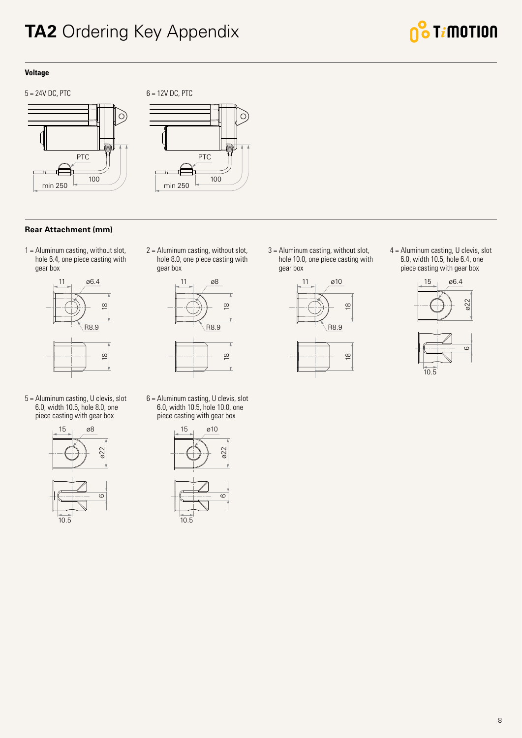### <span id="page-7-0"></span>**TA2** Ordering Key Appendix



### **Voltage**



# PTC 100 min 250

### **Rear Attachment (mm)**

1 = Aluminum casting, without slot, hole 6.4, one piece casting with gear box



5 = Aluminum casting, U clevis, slot 6.0, width 10.5, hole 8.0, one piece casting with gear box



2 = Aluminum casting, without slot, hole 8.0, one piece casting with gear box



6 = Aluminum casting, U clevis, slot 6.0, width 10.5, hole 10.0, one piece casting with gear box





3 = Aluminum casting, without slot, hole 10.0, one piece casting with gear box



4 = Aluminum casting, U clevis, slot 6.0, width 10.5, hole 6.4, one piece casting with gear box

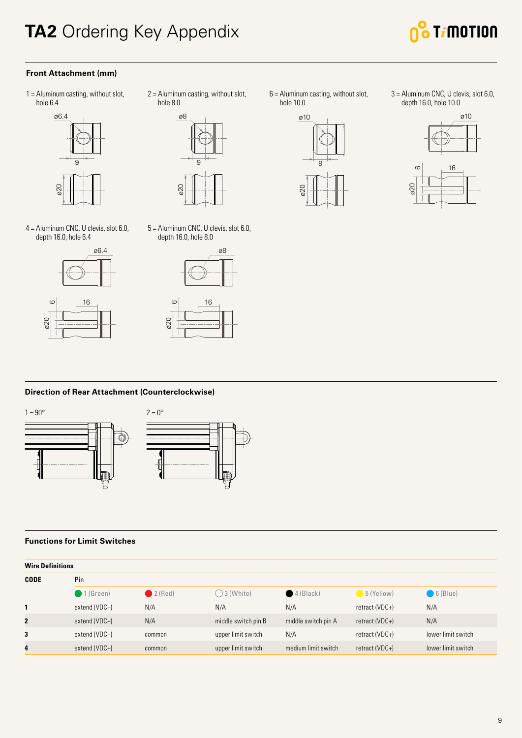### <span id="page-8-0"></span>**TA2** Ordering Key Appendix



### **Front Attachment (mm)**

1 = Aluminum casting, without slot, hole 6.4



2 = Aluminum casting, without slot, hole 8.0



4 = Aluminum CNC, U clevis, slot 6.0, depth 16.0, hole 6.4



5 = Aluminum CNC, U clevis, slot 6.0, depth 16.0, hole 8.0





 $6$  = Aluminum casting, without slot, hole 10.0



3 = Aluminum CNC, U clevis, slot 6.0, depth 16.0, hole 10.0



**Direction of Rear Attachment (Counterclockwise)**



#### **Functions for Limit Switches**

| <b>Wire Definitions</b> |                      |        |                      |                      |                |                    |  |  |
|-------------------------|----------------------|--------|----------------------|----------------------|----------------|--------------------|--|--|
| <b>CODE</b>             | Pin                  |        |                      |                      |                |                    |  |  |
|                         | $\bigcirc$ 1 (Green) | 2(Red) | $\bigcirc$ 3 (White) | $\bigcirc$ 4 (Black) | $5$ (Yellow)   | $6$ (Blue)         |  |  |
|                         | extend (VDC+)        | N/A    | N/A                  | N/A                  | retract (VDC+) | N/A                |  |  |
| $\mathbf{2}$            | extend (VDC+)        | N/A    | middle switch pin B  | middle switch pin A  | retract (VDC+) | N/A                |  |  |
| 3                       | extend (VDC+)        | common | upper limit switch   | N/A                  | retract (VDC+) | lower limit switch |  |  |
| 4                       | extend (VDC+)        | common | upper limit switch   | medium limit switch  | retract (VDC+) | lower limit switch |  |  |